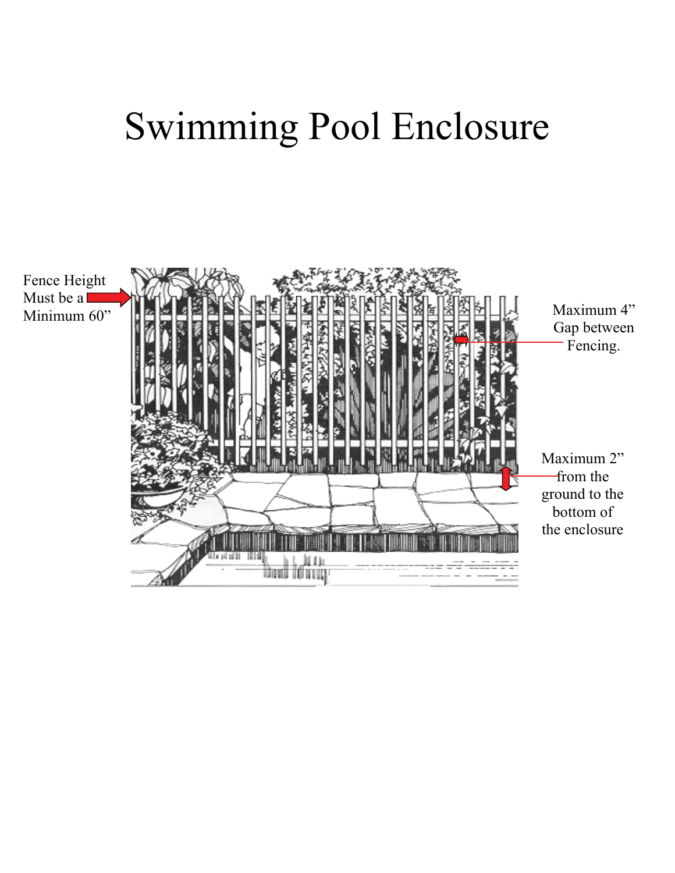## Swimming Pool Enclosure

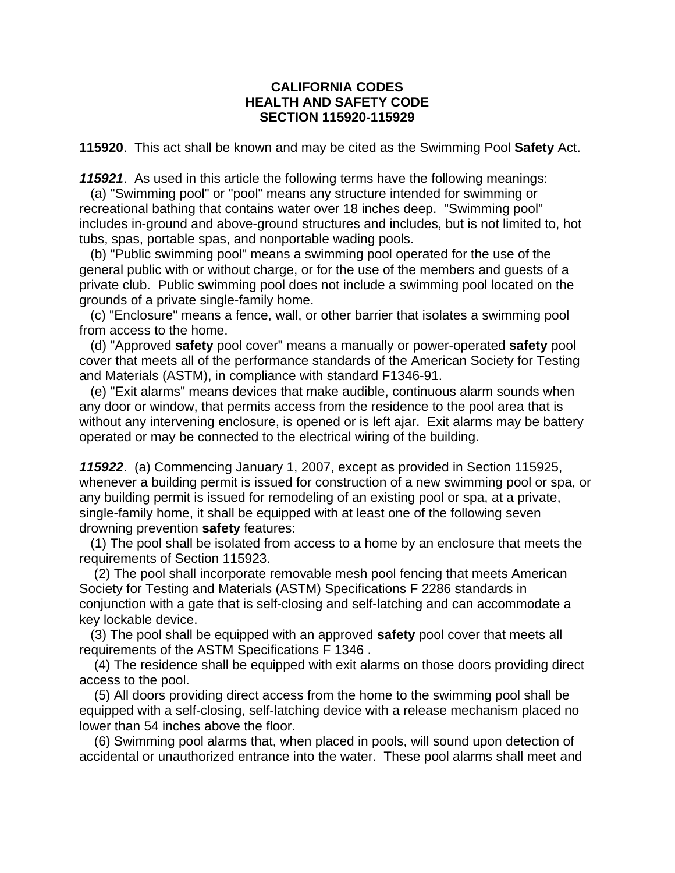## **CALIFORNIA CODES HEALTH AND SAFETY CODE SECTION 115920-115929**

**115920**. This act shall be known and may be cited as the Swimming Pool **Safety** Act.

*115921*. As used in this article the following terms have the following meanings:

 (a) "Swimming pool" or "pool" means any structure intended for swimming or recreational bathing that contains water over 18 inches deep. "Swimming pool" includes in-ground and above-ground structures and includes, but is not limited to, hot tubs, spas, portable spas, and nonportable wading pools.

 (b) "Public swimming pool" means a swimming pool operated for the use of the general public with or without charge, or for the use of the members and guests of a private club. Public swimming pool does not include a swimming pool located on the grounds of a private single-family home.

 (c) "Enclosure" means a fence, wall, or other barrier that isolates a swimming pool from access to the home.

 (d) "Approved **safety** pool cover" means a manually or power-operated **safety** pool cover that meets all of the performance standards of the American Society for Testing and Materials (ASTM), in compliance with standard F1346-91.

 (e) "Exit alarms" means devices that make audible, continuous alarm sounds when any door or window, that permits access from the residence to the pool area that is without any intervening enclosure, is opened or is left ajar. Exit alarms may be battery operated or may be connected to the electrical wiring of the building.

*115922*. (a) Commencing January 1, 2007, except as provided in Section 115925, whenever a building permit is issued for construction of a new swimming pool or spa, or any building permit is issued for remodeling of an existing pool or spa, at a private, single-family home, it shall be equipped with at least one of the following seven drowning prevention **safety** features:

 (1) The pool shall be isolated from access to a home by an enclosure that meets the requirements of Section 115923.

 (2) The pool shall incorporate removable mesh pool fencing that meets American Society for Testing and Materials (ASTM) Specifications F 2286 standards in conjunction with a gate that is self-closing and self-latching and can accommodate a key lockable device.

 (3) The pool shall be equipped with an approved **safety** pool cover that meets all requirements of the ASTM Specifications F 1346 .

 (4) The residence shall be equipped with exit alarms on those doors providing direct access to the pool.

 (5) All doors providing direct access from the home to the swimming pool shall be equipped with a self-closing, self-latching device with a release mechanism placed no lower than 54 inches above the floor.

 (6) Swimming pool alarms that, when placed in pools, will sound upon detection of accidental or unauthorized entrance into the water. These pool alarms shall meet and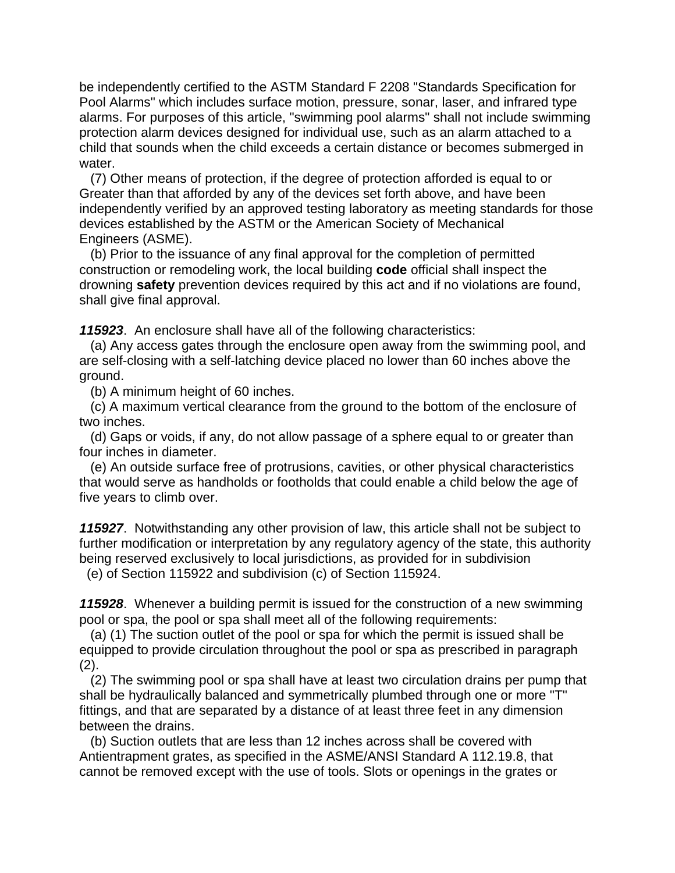be independently certified to the ASTM Standard F 2208 "Standards Specification for Pool Alarms" which includes surface motion, pressure, sonar, laser, and infrared type alarms. For purposes of this article, "swimming pool alarms" shall not include swimming protection alarm devices designed for individual use, such as an alarm attached to a child that sounds when the child exceeds a certain distance or becomes submerged in water.

 (7) Other means of protection, if the degree of protection afforded is equal to or Greater than that afforded by any of the devices set forth above, and have been independently verified by an approved testing laboratory as meeting standards for those devices established by the ASTM or the American Society of Mechanical Engineers (ASME).

 (b) Prior to the issuance of any final approval for the completion of permitted construction or remodeling work, the local building **code** official shall inspect the drowning **safety** prevention devices required by this act and if no violations are found, shall give final approval.

*115923*. An enclosure shall have all of the following characteristics:

 (a) Any access gates through the enclosure open away from the swimming pool, and are self-closing with a self-latching device placed no lower than 60 inches above the ground.

(b) A minimum height of 60 inches.

 (c) A maximum vertical clearance from the ground to the bottom of the enclosure of two inches.

 (d) Gaps or voids, if any, do not allow passage of a sphere equal to or greater than four inches in diameter.

 (e) An outside surface free of protrusions, cavities, or other physical characteristics that would serve as handholds or footholds that could enable a child below the age of five years to climb over.

*115927*. Notwithstanding any other provision of law, this article shall not be subject to further modification or interpretation by any regulatory agency of the state, this authority being reserved exclusively to local jurisdictions, as provided for in subdivision

(e) of Section 115922 and subdivision (c) of Section 115924.

*115928*. Whenever a building permit is issued for the construction of a new swimming pool or spa, the pool or spa shall meet all of the following requirements:

 (a) (1) The suction outlet of the pool or spa for which the permit is issued shall be equipped to provide circulation throughout the pool or spa as prescribed in paragraph  $(2).$ 

 (2) The swimming pool or spa shall have at least two circulation drains per pump that shall be hydraulically balanced and symmetrically plumbed through one or more "T" fittings, and that are separated by a distance of at least three feet in any dimension between the drains.

 (b) Suction outlets that are less than 12 inches across shall be covered with Antientrapment grates, as specified in the ASME/ANSI Standard A 112.19.8, that cannot be removed except with the use of tools. Slots or openings in the grates or